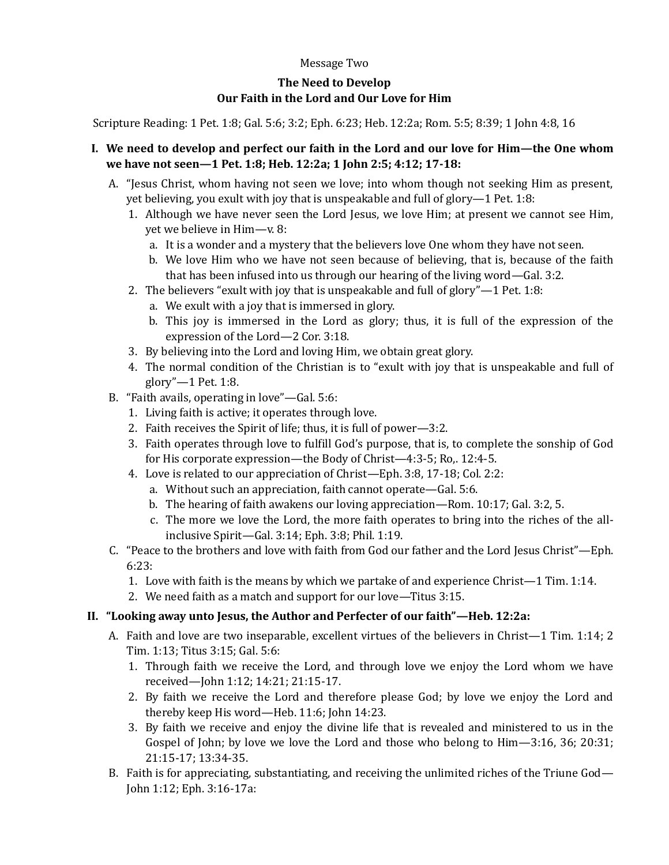#### Message Two

# **The Need to Develop Our Faith in the Lord and Our Love for Him**

Scripture Reading: 1 Pet. 1:8; Gal. 5:6; 3:2; Eph. 6:23; Heb. 12:2a; Rom. 5:5; 8:39; 1 John 4:8, 16

### **I. We need to develop and perfect our faith in the Lord and our love for Him—the One whom we have not seen—1 Pet. 1:8; Heb. 12:2a; 1 John 2:5; 4:12; 17-18:**

- A. "Jesus Christ, whom having not seen we love; into whom though not seeking Him as present, yet believing, you exult with joy that is unspeakable and full of glory—1 Pet. 1:8:
	- 1. Although we have never seen the Lord Jesus, we love Him; at present we cannot see Him, yet we believe in Him—v. 8:
		- a. It is a wonder and a mystery that the believers love One whom they have not seen.
		- b. We love Him who we have not seen because of believing, that is, because of the faith that has been infused into us through our hearing of the living word—Gal. 3:2.
	- 2. The believers "exult with joy that is unspeakable and full of glory"—1 Pet. 1:8:
		- a. We exult with a joy that is immersed in glory.
		- b. This joy is immersed in the Lord as glory; thus, it is full of the expression of the expression of the Lord—2 Cor. 3:18.
	- 3. By believing into the Lord and loving Him, we obtain great glory.
	- 4. The normal condition of the Christian is to "exult with joy that is unspeakable and full of glory"—1 Pet. 1:8.
- B. "Faith avails, operating in love"—Gal. 5:6:
	- 1. Living faith is active; it operates through love.
	- 2. Faith receives the Spirit of life; thus, it is full of power—3:2.
	- 3. Faith operates through love to fulfill God's purpose, that is, to complete the sonship of God for His corporate expression—the Body of Christ—4:3-5; Ro,. 12:4-5.
	- 4. Love is related to our appreciation of Christ—Eph. 3:8, 17-18; Col. 2:2:
		- a. Without such an appreciation, faith cannot operate—Gal. 5:6.
		- b. The hearing of faith awakens our loving appreciation—Rom. 10:17; Gal. 3:2, 5.
		- c. The more we love the Lord, the more faith operates to bring into the riches of the allinclusive Spirit—Gal. 3:14; Eph. 3:8; Phil. 1:19.
- C. "Peace to the brothers and love with faith from God our father and the Lord Jesus Christ"—Eph. 6:23:
	- 1. Love with faith is the means by which we partake of and experience Christ—1 Tim. 1:14.
	- 2. We need faith as a match and support for our love—Titus 3:15.

## **II. "Looking away unto Jesus, the Author and Perfecter of our faith"—Heb. 12:2a:**

- A. Faith and love are two inseparable, excellent virtues of the believers in Christ—1 Tim. 1:14; 2 Tim. 1:13; Titus 3:15; Gal. 5:6:
	- 1. Through faith we receive the Lord, and through love we enjoy the Lord whom we have received—John 1:12; 14:21; 21:15-17.
	- 2. By faith we receive the Lord and therefore please God; by love we enjoy the Lord and thereby keep His word—Heb. 11:6; John 14:23.
	- 3. By faith we receive and enjoy the divine life that is revealed and ministered to us in the Gospel of John; by love we love the Lord and those who belong to Him—3:16, 36; 20:31; 21:15-17; 13:34-35.
- B. Faith is for appreciating, substantiating, and receiving the unlimited riches of the Triune God— John 1:12; Eph. 3:16-17a: